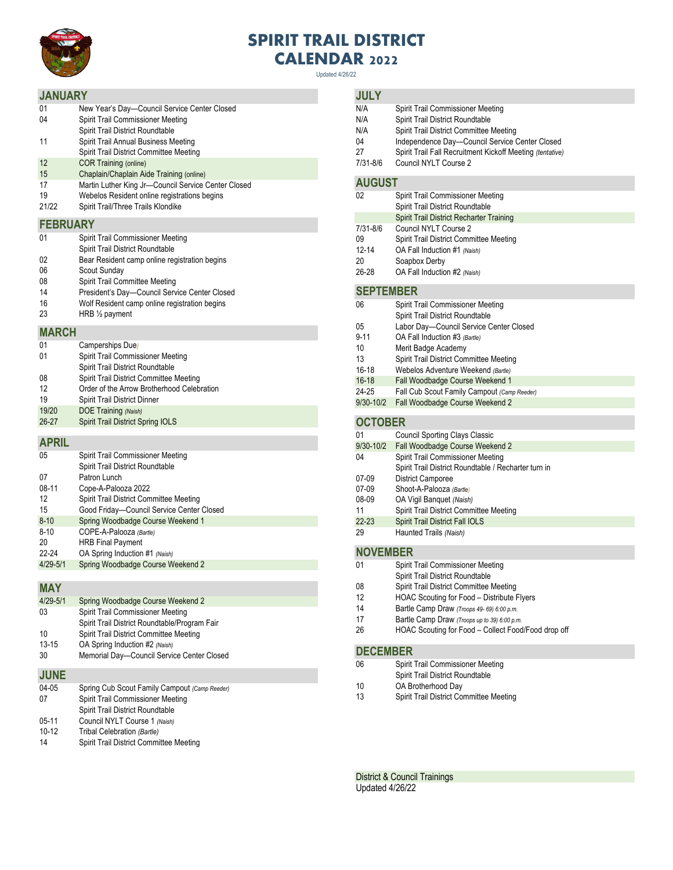

## **SPIRIT TRAIL DISTRICT CALENDAR 2022**

Updated 4/26/22

## **JANUARY**

| <b>JANUARY</b>  |                                                     |  |
|-----------------|-----------------------------------------------------|--|
| 01              | New Year's Day-Council Service Center Closed        |  |
| 04              | Spirit Trail Commissioner Meeting                   |  |
|                 | Spirit Trail District Roundtable                    |  |
| 11              | Spirit Trail Annual Business Meeting                |  |
|                 | Spirit Trail District Committee Meeting             |  |
| 12              | <b>COR Training (online)</b>                        |  |
| 15              | Chaplain/Chaplain Aide Training (online)            |  |
| 17              | Martin Luther King Jr-Council Service Center Closed |  |
| 19              | Webelos Resident online registrations begins        |  |
| 21/22           | Spirit Trail/Three Trails Klondike                  |  |
| <b>FEBRUARY</b> |                                                     |  |
| 01              | Spirit Trail Commissioner Meeting                   |  |
|                 | Spirit Trail District Roundtable                    |  |
| 02              | Bear Resident camp online registration begins       |  |
| 06              | Scout Sunday                                        |  |
| 08              | Spirit Trail Committee Meeting                      |  |
| 14              | President's Day-Council Service Center Closed       |  |
| 16              | Wolf Resident camp online registration begins       |  |
| 23              | HRB $\frac{1}{2}$ payment                           |  |
| <b>MARCH</b>    |                                                     |  |
|                 |                                                     |  |

| 01        | Camperships Due)                           |
|-----------|--------------------------------------------|
| 01        | Spirit Trail Commissioner Meeting          |
|           | Spirit Trail District Roundtable           |
| 08        | Spirit Trail District Committee Meeting    |
| 12        | Order of the Arrow Brotherhood Celebration |
| 19        | <b>Spirit Trail District Dinner</b>        |
| 19/20     | DOE Training (Naish)                       |
| $26 - 27$ | Spirit Trail District Spring IOLS          |
|           |                                            |

**APRIL**

| 05           | Spirit Trail Commissioner Meeting         |
|--------------|-------------------------------------------|
|              | Spirit Trail District Roundtable          |
| 07           | Patron Lunch                              |
| $08-11$      | Cope-A-Palooza 2022                       |
| 12           | Spirit Trail District Committee Meeting   |
| 15           | Good Friday-Council Service Center Closed |
| $8 - 10$     | Spring Woodbadge Course Weekend 1         |
| $8 - 10$     | COPE-A-Palooza (Bartle)                   |
| 20           | <b>HRB Final Payment</b>                  |
| 22-24        | OA Spring Induction #1 (Naish)            |
| $4/29 - 5/1$ | Spring Woodbadge Course Weekend 2         |
|              |                                           |

**MAY**

| <b>WEV</b>   |                                               |
|--------------|-----------------------------------------------|
| $4/29 - 5/1$ | Spring Woodbadge Course Weekend 2             |
| 03           | Spirit Trail Commissioner Meeting             |
|              | Spirit Trail District Roundtable/Program Fair |
| 10           | Spirit Trail District Committee Meeting       |
| $13 - 15$    | OA Spring Induction #2 (Naish)                |
| 30           | Memorial Day-Council Service Center Closed    |
|              |                                               |

**JUNE**

| 04-05   | Spring Cub Scout Family Campout (Camp Reeder) |
|---------|-----------------------------------------------|
| 07      | Spirit Trail Commissioner Meeting             |
|         | Spirit Trail District Roundtable              |
| $05-11$ | Council NYLT Course 1 (Naish)                 |
| $10-12$ | Tribal Celebration (Bartle)                   |
| 14      | Spirit Trail District Committee Meeting       |

## **JULY**

| JULY            |                                                                                           |  |
|-----------------|-------------------------------------------------------------------------------------------|--|
| N/A             | Spirit Trail Commissioner Meeting                                                         |  |
| N/A             | Spirit Trail District Roundtable                                                          |  |
| N/A             | Spirit Trail District Committee Meeting                                                   |  |
| 04              | Independence Day-Council Service Center Closed                                            |  |
| 27              | Spirit Trail Fall Recruitment Kickoff Meeting (tentative)                                 |  |
| 7/31-8/6        | Council NYLT Course 2                                                                     |  |
| <b>AUGUST</b>   |                                                                                           |  |
| 02              | Spirit Trail Commissioner Meeting<br>Spirit Trail District Roundtable                     |  |
|                 | Spirit Trail District Recharter Training                                                  |  |
| 7/31-8/6        | Council NYLT Course 2                                                                     |  |
| 09              | Spirit Trail District Committee Meeting                                                   |  |
| 12-14           | OA Fall Induction #1 (Naish)                                                              |  |
| 20              | Soapbox Derby                                                                             |  |
| 26-28           | OA Fall Induction #2 (Naish)                                                              |  |
| SEPTEMBER       |                                                                                           |  |
| 06              | Spirit Trail Commissioner Meeting                                                         |  |
|                 | Spirit Trail District Roundtable                                                          |  |
| 05              | Labor Day-Council Service Center Closed                                                   |  |
| 9-11            | OA Fall Induction #3 (Bartle)                                                             |  |
| 10              | Merit Badge Academy                                                                       |  |
| 13              | Spirit Trail District Committee Meeting                                                   |  |
| 16-18           | Webelos Adventure Weekend (Bartle)                                                        |  |
| $16 - 18$       | Fall Woodbadge Course Weekend 1                                                           |  |
| 24-25           | Fall Cub Scout Family Campout (Camp Reeder)                                               |  |
| 9/30-10/2       | Fall Woodbadge Course Weekend 2                                                           |  |
| <b>OCTOBER</b>  |                                                                                           |  |
| 01              | <b>Council Sporting Clays Classic</b>                                                     |  |
| 9/30-10/2       | Fall Woodbadge Course Weekend 2                                                           |  |
| 04              | Spirit Trail Commissioner Meeting<br>Spirit Trail District Roundtable / Recharter turn in |  |
| 07-09           | <b>District Camporee</b>                                                                  |  |
| 07-09           | Shoot-A-Palooza (Bartle)                                                                  |  |
| 08-09           | OA Vigil Banquet (Naish)                                                                  |  |
| 11              | Spirit Trail District Committee Meeting                                                   |  |
| 22-23           | Spirit Trail District Fall IOLS                                                           |  |
| 29              | Haunted Trails (Naish)                                                                    |  |
| <b>NOVEMBER</b> |                                                                                           |  |
|                 |                                                                                           |  |

| 01              | Spirit Trail Commissioner Meeting                   |  |
|-----------------|-----------------------------------------------------|--|
|                 | Spirit Trail District Roundtable                    |  |
| 08              | Spirit Trail District Committee Meeting             |  |
| 12              | HOAC Scouting for Food - Distribute Flyers          |  |
| 14              | Bartle Camp Draw (Troops 49- 69) 6:00 p.m.          |  |
| 17              | Bartle Camp Draw (Troops up to 39) 6:00 p.m.        |  |
| 26              | HOAC Scouting for Food - Collect Food/Food drop off |  |
|                 |                                                     |  |
| <b>DECEMBER</b> |                                                     |  |
| 06              | Spirit Trail Commissioner Meeting                   |  |
|                 | Spirit Trail District Roundtable                    |  |

- 10 OA Brotherhood Day<br>13 Spirit Trail District Cor
- Spirit Trail District Committee Meeting

District & Council Trainings Updated 4/26/22